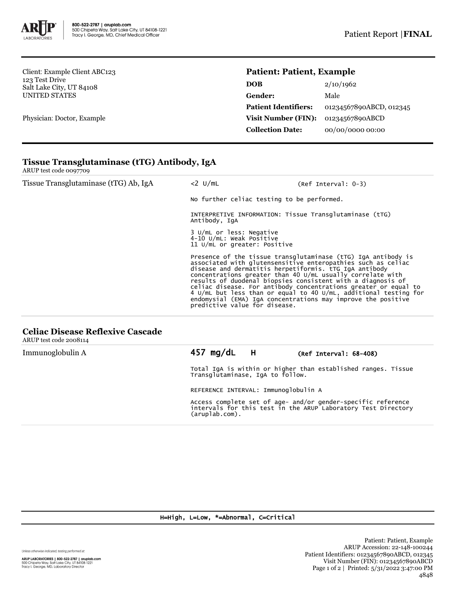

Client: Example Client ABC123 123 Test Drive Salt Lake City, UT 84108 UNITED STATES

Physician: Doctor, Example

## **Patient: Patient, Example**

| <b>DOB</b>                  | 2/10/1962               |
|-----------------------------|-------------------------|
| Gender:                     | Male                    |
| <b>Patient Identifiers:</b> | 01234567890ABCD, 012345 |
| <b>Visit Number (FIN):</b>  | 01234567890ABCD         |
| <b>Collection Date:</b>     | 00/00/0000 00:00        |

# **Tissue Transglutaminase (tTG) Antibody, IgA**

ARUP test code 0097709

| Tissue Transglutaminase (tTG) Ab, IgA | $<$ 2 $U/mL$                                                                            | (Ref Interval: 0-3)                                                                                                                                                                                                                                                                                                                                                                                                                                            |  |  |
|---------------------------------------|-----------------------------------------------------------------------------------------|----------------------------------------------------------------------------------------------------------------------------------------------------------------------------------------------------------------------------------------------------------------------------------------------------------------------------------------------------------------------------------------------------------------------------------------------------------------|--|--|
|                                       | No further celiac testing to be performed.                                              |                                                                                                                                                                                                                                                                                                                                                                                                                                                                |  |  |
|                                       | INTERPRETIVE INFORMATION: Tissue Transglutaminase (tTG)<br>Antibody, IgA                |                                                                                                                                                                                                                                                                                                                                                                                                                                                                |  |  |
|                                       | 3 U/mL or less: Negative<br>4-10 U/mL: Weak Positive<br>11 U/mL or greater: Positive    |                                                                                                                                                                                                                                                                                                                                                                                                                                                                |  |  |
|                                       | disease and dermatitis herpetiformis. tTG IqA antibody<br>predictive value for disease. | Presence of the tissue transglutaminase (tTG) IgA antibody is associated with glutensensitive enteropathies such as celiac<br>concentrations greater than 40 U/mL usually correlate with<br>results of duodenal biopsies consistent with a diagnosis of<br>celiac disease. For antibody concentrations greater or equal to<br>4 U/mL but less than or equal to 40 U/mL, additional testing for<br>endomysial (EMA) IgA concentrations may improve the positive |  |  |

## **Celiac Disease Reflexive Cascade**

ARUP test code 2008114

| Immunoglobulin A |                                                                                                                                                 | $457 \text{ mg/dL}$ H |  | $(Ref Interval: 68-408)$ |  |
|------------------|-------------------------------------------------------------------------------------------------------------------------------------------------|-----------------------|--|--------------------------|--|
|                  | Total IgA is within or higher than established ranges. Tissue<br>Transglutaminase, IgA to follow.                                               |                       |  |                          |  |
|                  | REFERENCE INTERVAL: Immunoglobulin A                                                                                                            |                       |  |                          |  |
|                  | Access complete set of age- and/or gender-specific reference<br>intervals for this test in the ARUP Laboratory Test Directory<br>(aruplab.com). |                       |  |                          |  |

#### H=High, L=Low, \*=Abnormal, C=Critical

Unless otherwise indicated, testing performed at:

**ARUP LABORATORIES | 800-522-2787 | aruplab.com**<br>500 Chipeta Way, Salt Lake City, UT 84108-1221<br>Tracy I. George, MD, Laboratory Director

Patient: Patient, Example ARUP Accession: 22-148-100244 Patient Identifiers: 01234567890ABCD, 012345 Visit Number (FIN): 01234567890ABCD Page 1 of 2 | Printed: 5/31/2022 3:47:00 PM 4848